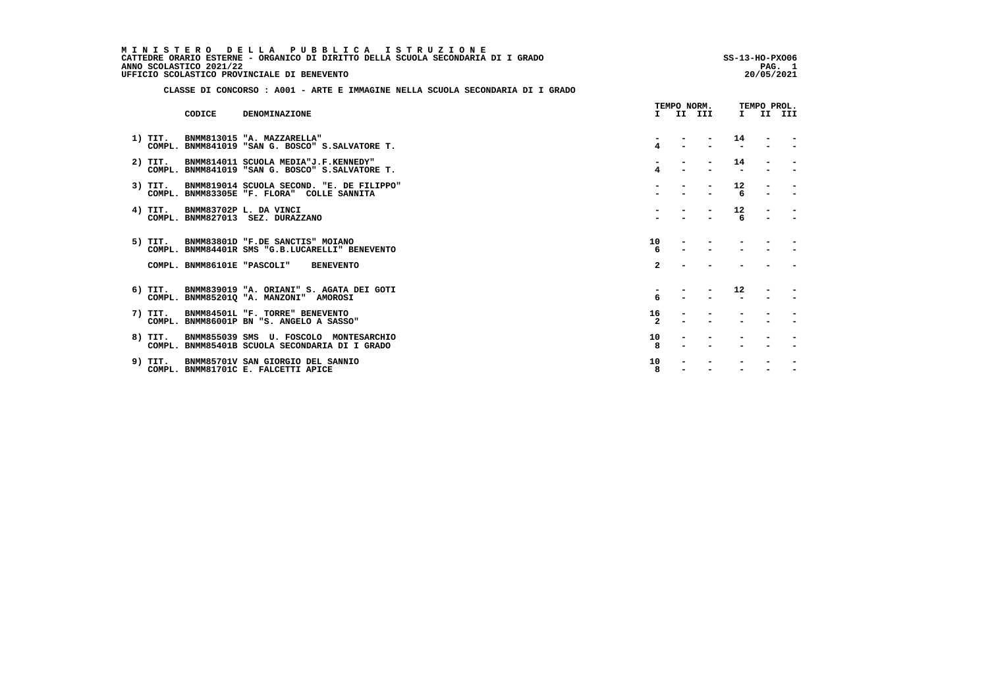| MINISTERO DELLA PUBBLICA ISTRUZIONE                                              |                |
|----------------------------------------------------------------------------------|----------------|
| CATTEDRE ORARIO ESTERNE - ORGANICO DI DIRITTO DELLA SCUOLA SECONDARIA DI I GRADO | SS-13-HO-PX006 |
| ANNO SCOLASTICO 2021/22                                                          | PAG.           |
| UFFICIO SCOLASTICO PROVINCIALE DI BENEVENTO                                      | 20/05/2021     |
|                                                                                  |                |

 **CLASSE DI CONCORSO : A001 - ARTE E IMMAGINE NELLA SCUOLA SECONDARIA DI I GRADO**

|           | CODICE | <b>DENOMINAZIONE</b>                                                                                                                 |                         | TEMPO NORM. | I II III |         | TEMPO PROL. | I II III |
|-----------|--------|--------------------------------------------------------------------------------------------------------------------------------------|-------------------------|-------------|----------|---------|-------------|----------|
| 1) TIT.   |        | BNMM813015 "A. MAZZARELLA"<br>COMPL. BNMM841019 "SAN G. BOSCO" S.SALVATORE T.                                                        | 4                       |             |          | 14      |             |          |
| 2) TIT.   |        | BNMM814011 SCUOLA MEDIA"J.F.KENNEDY"<br>COMPL. BNMM841019 "SAN G. BOSCO" S.SALVATORE T.                                              | 4                       |             |          | 14      |             |          |
| 3) TIT.   |        | BNMM819014 SCUOLA SECOND. "E. DE FILIPPO"<br>COMPL. BNMM83305E "F. FLORA" COLLE SANNITA                                              |                         |             |          | 12<br>6 |             |          |
| 4) TIT.   |        | BNMM83702P L. DA VINCI<br>COMPL. BNMM827013 SEZ. DURAZZANO                                                                           |                         |             |          | 12<br>6 |             |          |
|           |        | 5) TIT. BNMM83801D "F.DE SANCTIS" MOIANO<br>COMPL. BNMM84401R SMS "G.B.LUCARELLI" BENEVENTO<br>COMPL. BNMM86101E "PASCOLI" BENEVENTO | 10<br>6<br>$\mathbf{2}$ |             |          |         |             |          |
| $6)$ TIT. |        | BNMM839019 "A. ORIANI" S. AGATA DEI GOTI<br>COMPL. BNMM85201Q "A. MANZONI" AMOROSI                                                   | 6                       |             |          | 12      |             |          |
| 7) TIT.   |        | BNMM84501L "F. TORRE" BENEVENTO<br>COMPL. BNMM86001P BN "S. ANGELO A SASSO"                                                          | 16<br>$\overline{2}$    |             |          |         |             |          |
| 8) TIT.   |        | BNMM855039 SMS U. FOSCOLO MONTESARCHIO<br>COMPL. BNMM85401B SCUOLA SECONDARIA DI I GRADO                                             | 10                      |             |          |         |             |          |
| 9) TIT.   |        | BNMM85701V SAN GIORGIO DEL SANNIO<br>COMPL. BNMM81701C E. FALCETTI APICE                                                             | 10<br>8                 |             |          |         |             |          |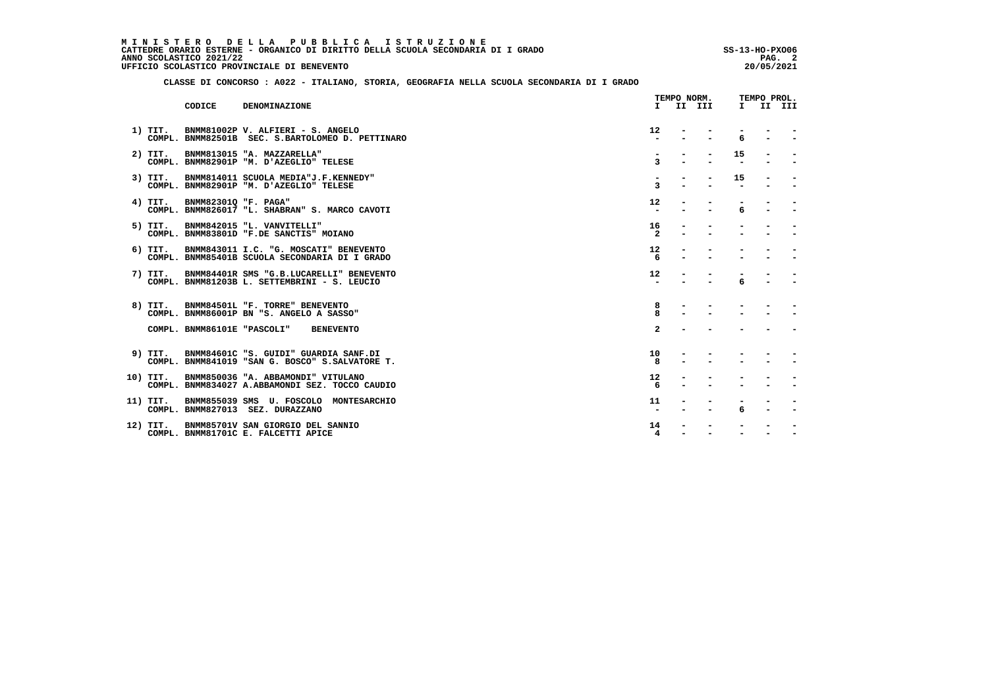MINISTERO DELLA PUBBLICA ISTRUZIONE<br>CATTEDRE ORARIO ESTERNE - ORGANICO DI DIRITTO DELLA SCUOLA SECONDARIA DI IGRADO  **ANNO SCOLASTICO 2021/22 PAG. 2 UFFICIO SCOLASTICO PROVINCIALE DI BENEVENTO 20/05/2021**

 $\ddot{\phantom{0}}$ 

 **CLASSE DI CONCORSO : A022 - ITALIANO, STORIA, GEOGRAFIA NELLA SCUOLA SECONDARIA DI I GRADO**

|           |                      |                                                                                           |                      | TEMPO NORM. |              | TEMPO PROL. |        |
|-----------|----------------------|-------------------------------------------------------------------------------------------|----------------------|-------------|--------------|-------------|--------|
|           | CODICE               | DENOMINAZIONE                                                                             |                      | I II III    | $\mathbf{I}$ |             | II III |
| 1) TIT.   |                      | BNMM81002P V. ALFIERI - S. ANGELO<br>COMPL. BNMM82501B SEC. S.BARTOLOMEO D. PETTINARO     | 12 <sup>2</sup>      |             | 6            |             |        |
| $2)$ TIT. |                      | BNMM813015 "A. MAZZARELLA"<br>COMPL. BNMM82901P "M. D'AZEGLIO" TELESE                     | 3                    |             | 15           |             |        |
| $3)$ TIT. |                      | BNMM814011 SCUOLA MEDIA"J.F.KENNEDY"<br>COMPL. BNMM82901P "M. D'AZEGLIO" TELESE           | 3                    |             | 15           |             |        |
| 4) TIT.   | BNMM82301Q "F. PAGA" | COMPL. BNMM826017 "L. SHABRAN" S. MARCO CAVOTI                                            | 12                   |             | 6            |             |        |
|           |                      | 5) TIT. BNMM842015 "L. VANVITELLI"<br>COMPL. BNMM83801D "F.DE SANCTIS" MOIANO             | 16<br>$\overline{2}$ |             |              |             |        |
| $6)$ TIT. |                      | BNMM843011 I.C. "G. MOSCATI" BENEVENTO<br>COMPL. BNMM85401B SCUOLA SECONDARIA DI I GRADO  | 12                   |             |              |             |        |
| 7) TIT.   |                      | BNMM84401R SMS "G.B.LUCARELLI" BENEVENTO<br>COMPL. BNMM81203B L. SETTEMBRINI - S. LEUCIO  | 12 <sup>2</sup>      |             | 6            |             |        |
|           |                      | 8) TIT. BNMM84501L "F. TORRE" BENEVENTO<br>COMPL. BNMM86001P BN "S. ANGELO A SASSO"       | 8<br>8               |             |              |             |        |
|           |                      | COMPL. BNMM86101E "PASCOLI" BENEVENTO                                                     | $\overline{a}$       |             |              |             |        |
| 9) TIT.   |                      | BNMM84601C "S. GUIDI" GUARDIA SANF.DI<br>COMPL. BNMM841019 "SAN G. BOSCO" S. SALVATORE T. | 10<br>8              |             |              |             |        |
| 10) TIT.  |                      | BNMM850036 "A. ABBAMONDI" VITULANO<br>COMPL. BNMM834027 A.ABBAMONDI SEZ. TOCCO CAUDIO     | 12                   |             |              |             |        |
| 11) TIT.  |                      | BNMM855039 SMS U. FOSCOLO MONTESARCHIO<br>COMPL. BNMM827013 SEZ. DURAZZANO                | 11                   |             | 6            |             |        |
| 12) TIT.  |                      | BNMM85701V SAN GIORGIO DEL SANNIO<br>COMPL. BNMM81701C E. FALCETTI APICE                  | 14<br>4              |             |              |             |        |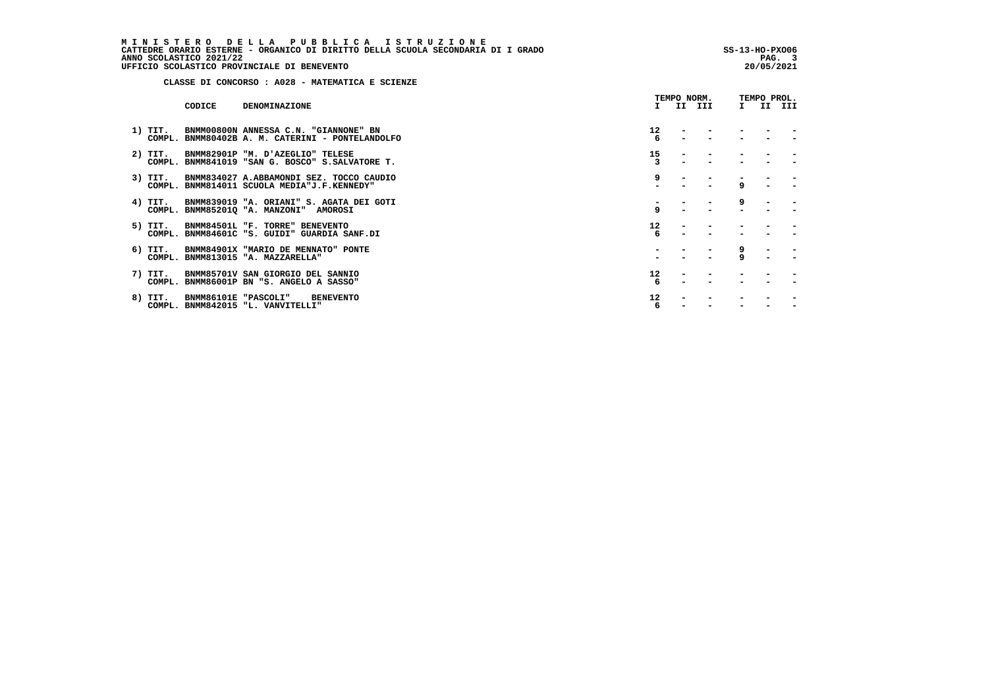MINISTERO DELLA PUBBLICA ISTRUZIONE<br>CATTEDRE ORARIO ESTERNE - ORGANICO DI DIRITTO DELLA SCUOLA SECONDARIA DI IGRADO<br>ANNO SCOLASTICO 2021/22 PAG. 3<br>UFFICIO SCOLASTICO PROVINCIALE DI BENEVENTO

 **CLASSE DI CONCORSO : A028 - MATEMATICA E SCIENZE**

|         |        |                                                                                                 |         | TEMPO NORM. |              | TEMPO PROL. |  |
|---------|--------|-------------------------------------------------------------------------------------------------|---------|-------------|--------------|-------------|--|
|         | CODICE | <b>DENOMINAZIONE</b>                                                                            |         | I II III    | $\mathbf{I}$ | II III      |  |
| 1) TIT. |        | BNMM00800N ANNESSA C.N. "GIANNONE" BN<br>COMPL. BNMM80402B A. M. CATERINI - PONTELANDOLFO       | 12<br>6 |             |              |             |  |
| 2) TIT. |        | BNMM82901P "M. D'AZEGLIO" TELESE<br>COMPL. BNMM841019 "SAN G. BOSCO" S.SALVATORE T.             | 15      |             |              |             |  |
|         |        | 3) TIT. BNMM834027 A.ABBAMONDI SEZ. TOCCO CAUDIO<br>COMPL. BNMM814011 SCUOLA MEDIA"J.F.KENNEDY" | 9       |             | $\mathbf{q}$ |             |  |
| 4) TIT. |        | BNMM839019 "A. ORIANI" S. AGATA DEI GOTI<br>COMPL. BNMM85201Q "A. MANZONI" AMOROSI              | 9       |             | 9            |             |  |
| 5) TIT. |        | BNMM84501L "F. TORRE" BENEVENTO<br>COMPL. BNMM84601C "S. GUIDI" GUARDIA SANF.DI                 | 12      |             |              |             |  |
| 6) TIT. |        | BNMM84901X "MARIO DE MENNATO" PONTE<br>COMPL. BNMM813015 "A. MAZZARELLA"                        |         |             | 9<br>9       |             |  |
| 7) TIT. |        | BNMM85701V SAN GIORGIO DEL SANNIO<br>COMPL. BNMM86001P BN "S. ANGELO A SASSO"                   | 12<br>6 |             |              |             |  |
| 8) TIT. |        | BNMM86101E "PASCOLI"<br><b>BENEVENTO</b><br>COMPL. BNMM842015 "L. VANVITELLI"                   | 12<br>6 |             |              |             |  |
|         |        |                                                                                                 |         |             |              |             |  |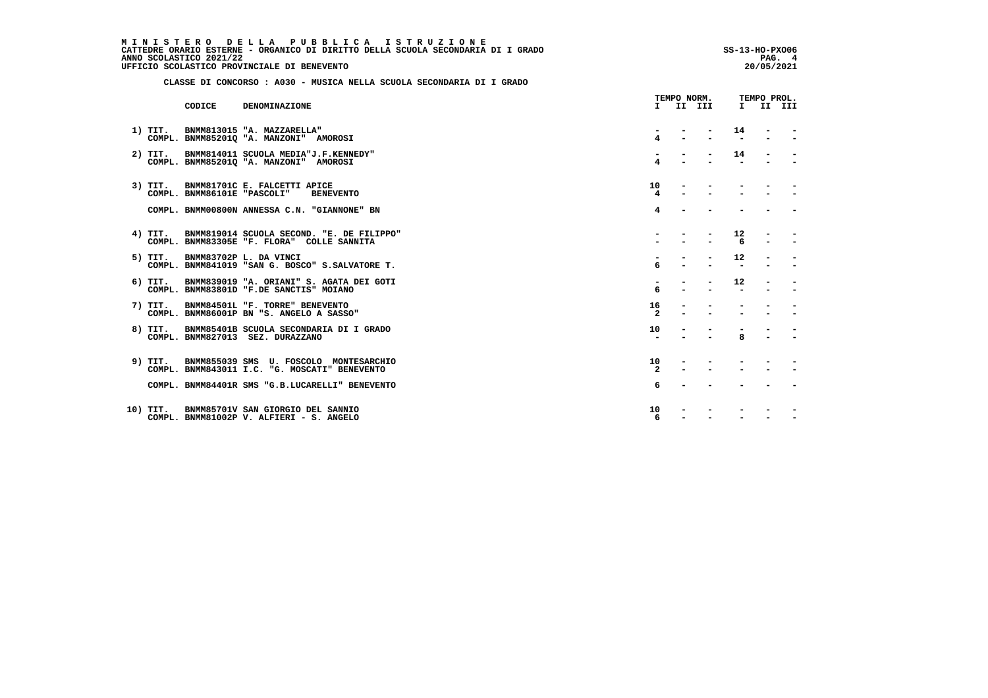MINISTERO DELLA PUBBLICA ISTRUZIONE<br>CATTEDRE ORARIO ESTERNE - ORGANICO DI DIRITTO DELLA SCUOLA SECONDARIA DI IGRADO  **ANNO SCOLASTICO 2021/22 PAG. 4 UFFICIO SCOLASTICO PROVINCIALE DI BENEVENTO 20/05/2021**

 **CLASSE DI CONCORSO : A030 - MUSICA NELLA SCUOLA SECONDARIA DI I GRADO**

|           | CODICE                      | DENOMINAZIONE                                                                                   | T.                   | II III | $\mathbf{I}$ | II III |
|-----------|-----------------------------|-------------------------------------------------------------------------------------------------|----------------------|--------|--------------|--------|
| $1)$ TIT. |                             | BNMM813015 "A. MAZZARELLA"<br>COMPL. BNMM852010 "A. MANZONI" AMOROSI                            | 4                    |        | 14           |        |
| $2)$ TIT. |                             | BNMM814011 SCUOLA MEDIA"J.F.KENNEDY"<br>COMPL. BNMM85201Q "A. MANZONI" AMOROSI                  |                      |        | 14           |        |
| 3) TIT.   | COMPL. BNMM86101E "PASCOLI" | BNMM81701C E. FALCETTI APICE<br><b>BENEVENTO</b>                                                | 10<br>4              |        |              |        |
|           |                             | COMPL. BNMM00800N ANNESSA C.N. "GIANNONE" BN                                                    | 4                    |        |              |        |
|           |                             | 4) TIT. BNMM819014 SCUOLA SECOND. "E. DE FILIPPO"<br>COMPL. BNMM83305E "F. FLORA" COLLE SANNITA |                      |        | 12<br>6      |        |
| 5) TIT.   |                             | BNMM83702P L. DA VINCI<br>COMPL. BNMM841019 "SAN G. BOSCO" S.SALVATORE T.                       | б.                   |        | 12           |        |
| 6) TIT.   |                             | BNMM839019 "A. ORIANI" S. AGATA DEI GOTI<br>COMPL. BNMM83801D "F.DE SANCTIS" MOIANO             | 6                    |        | $12^{\circ}$ |        |
| 7) TIT.   |                             | BNMM84501L "F. TORRE" BENEVENTO<br>COMPL. BNMM86001P BN "S. ANGELO A SASSO"                     | 16<br>$\overline{2}$ |        |              |        |
| 8) TIT.   |                             | BNMM85401B SCUOLA SECONDARIA DI I GRADO<br>COMPL. BNMM827013 SEZ. DURAZZANO                     | 10                   |        | $\mathbf{R}$ |        |
|           |                             | 9) TIT. BNMM855039 SMS U. FOSCOLO MONTESARCHIO<br>COMPL. BNMM843011 I.C. "G. MOSCATI" BENEVENTO | 10<br>$\mathbf{2}$   |        |              |        |
|           |                             | COMPL. BNMM84401R SMS "G.B.LUCARELLI" BENEVENTO                                                 | 6                    |        |              |        |
| 10) TIT.  |                             | BNMM85701V SAN GIORGIO DEL SANNIO<br>COMPL. BNMM81002P V. ALFIERI - S. ANGELO                   | 10<br>6              |        |              |        |

 **TEMPO NORM. TEMPO PROL.**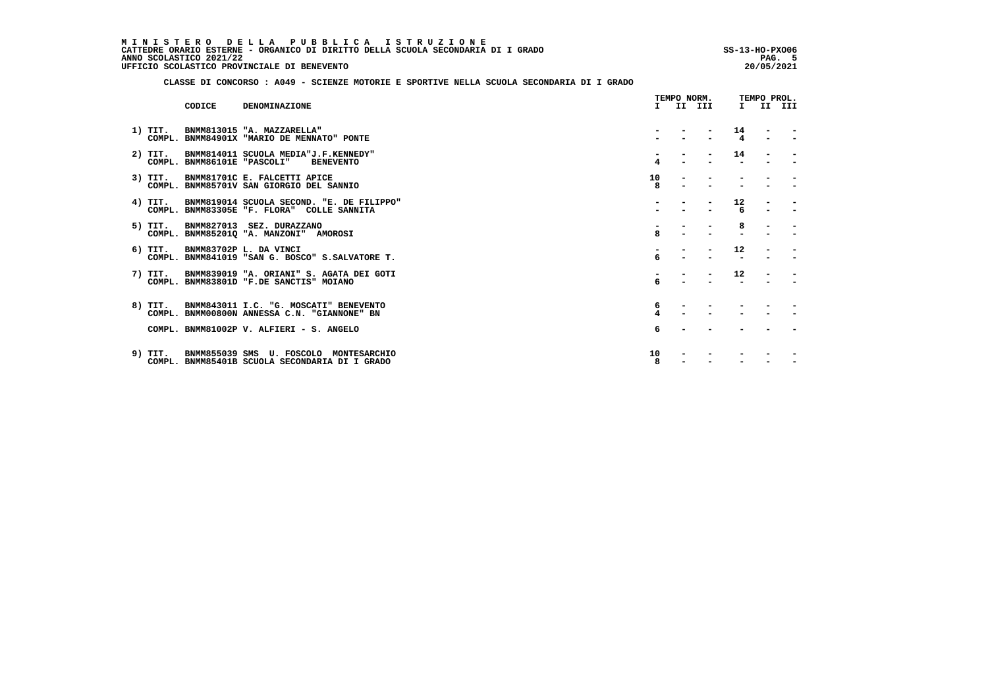MINISTERO DELLA PUBBLICA ISTRUZIONE<br>CATTEDRE ORARIO ESTERNE - ORGANICO DI DIRITTO DELLA SCUOLA SECONDARIA DI IGRADO  **ANNO SCOLASTICO 2021/22 PAG. 5 UFFICIO SCOLASTICO PROVINCIALE DI BENEVENTO 20/05/2021**

j

 **CLASSE DI CONCORSO : A049 - SCIENZE MOTORIE E SPORTIVE NELLA SCUOLA SECONDARIA DI I GRADO**

|           |                             |                                                                                                | TEMPO NORM. |  |          | TEMPO PROL.  |                |        |  |  |
|-----------|-----------------------------|------------------------------------------------------------------------------------------------|-------------|--|----------|--------------|----------------|--------|--|--|
|           | CODICE                      | DENOMINAZIONE                                                                                  |             |  | I II III | $\mathbf{I}$ |                | II III |  |  |
| 1) TIT.   |                             | BNMM813015 "A. MAZZARELLA"<br>COMPL. BNMM84901X "MARIO DE MENNATO" PONTE                       |             |  |          | 14<br>4      | $\blacksquare$ |        |  |  |
| $2)$ TIT. | COMPL. BNMM86101E "PASCOLI" | BNMM814011 SCUOLA MEDIA"J.F.KENNEDY"<br><b>BENEVENTO</b>                                       | 4           |  |          | 14           |                |        |  |  |
| $3)$ TIT. |                             | BNMM81701C E. FALCETTI APICE<br>COMPL. BNMM85701V SAN GIORGIO DEL SANNIO                       | 10<br>8     |  |          |              |                |        |  |  |
| 4) TIT.   |                             | BNMM819014 SCUOLA SECOND. "E. DE FILIPPO"<br>COMPL. BNMM83305E "F. FLORA" COLLE SANNITA        |             |  |          | 12<br>6      |                |        |  |  |
| 5) TIT.   |                             | BNMM827013 SEZ. DURAZZANO<br>COMPL. BNMM852010 "A. MANZONI" AMOROSI                            | R           |  |          | 8            |                |        |  |  |
| $6)$ TIT. |                             | BNMM83702P L. DA VINCI<br>COMPL. BNMM841019 "SAN G. BOSCO" S. SALVATORE T.                     | 6           |  |          | 12           |                |        |  |  |
| 7) TIT.   |                             | BNMM839019 "A. ORIANI" S. AGATA DEI GOTI<br>COMPL. BNMM83801D "F.DE SANCTIS" MOIANO            | 6           |  |          | 12           |                |        |  |  |
|           |                             | 8) TIT. BNMM843011 I.C. "G. MOSCATI" BENEVENTO<br>COMPL. BNMM00800N ANNESSA C.N. "GIANNONE" BN | 6           |  |          |              |                |        |  |  |
|           |                             | COMPL. BNMM81002P V. ALFIERI - S. ANGELO                                                       | 6           |  |          |              |                |        |  |  |
| 9) TIT.   |                             | BNMM855039 SMS U. FOSCOLO MONTESARCHIO<br>COMPL. BNMM85401B SCUOLA SECONDARIA DI I GRADO       | 10<br>8     |  |          |              |                |        |  |  |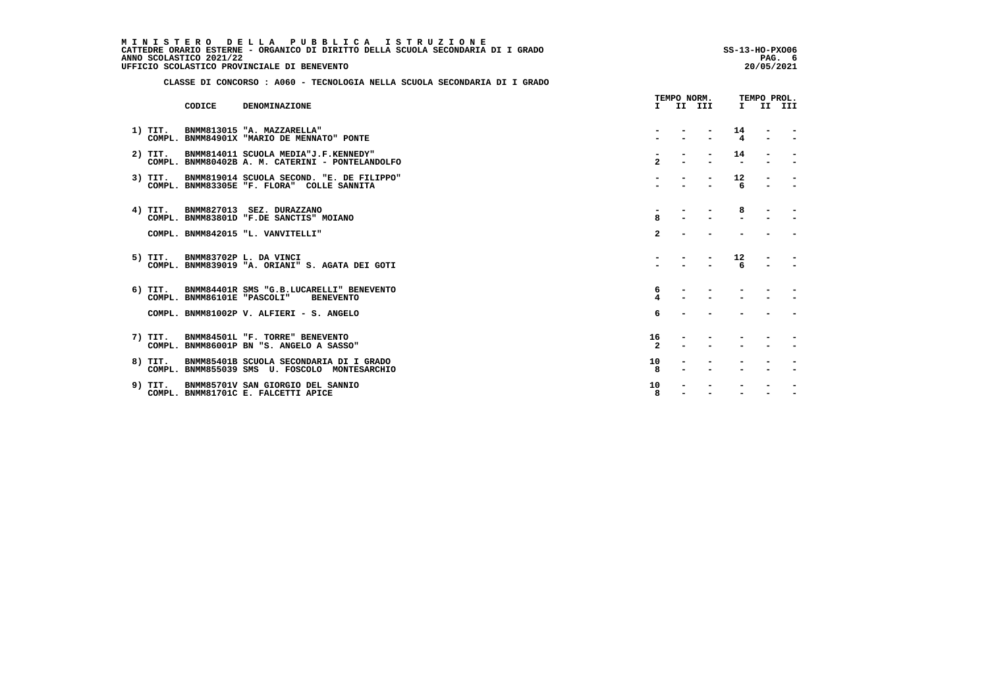MINISTERO DELLA PUBBLICA ISTRUZIONE<br>CATTEDRE ORARIO ESTERNE - ORGANICO DI DIRITTO DELLA SCUOLA SECONDARIA DI IGRADO  **ANNO SCOLASTICO 2021/22 PAG. 6 UFFICIO SCOLASTICO PROVINCIALE DI BENEVENTO 20/05/2021**

 **CLASSE DI CONCORSO : A060 - TECNOLOGIA NELLA SCUOLA SECONDARIA DI I GRADO**

|           | CODICE | DENOMINAZIONE                                                                               | Τ.                   | II III | $\mathbf{I}$         | II III                   |
|-----------|--------|---------------------------------------------------------------------------------------------|----------------------|--------|----------------------|--------------------------|
| $1)$ TIT. |        | BNMM813015 "A. MAZZARELLA"<br>COMPL. BNMM84901X "MARIO DE MENNATO" PONTE                    |                      |        | 14<br>$\overline{a}$ |                          |
| $2)$ TIT. |        | BNMM814011 SCUOLA MEDIA"J.F.KENNEDY"<br>COMPL. BNMM80402B A. M. CATERINI - PONTELANDOLFO    | $\overline{2}$       |        | 14                   |                          |
| $3)$ TIT. |        | BNMM819014 SCUOLA SECOND. "E. DE FILIPPO"<br>COMPL. BNMM83305E "F. FLORA" COLLE SANNITA     |                      |        | 12<br>6              |                          |
|           |        | 4) TIT. BNMM827013 SEZ. DURAZZANO<br>COMPL. BNMM83801D "F.DE SANCTIS" MOIANO                | <b>Q</b>             |        | 8                    | $\qquad \qquad$          |
|           |        | COMPL. BNMM842015 "L. VANVITELLI"                                                           | $\mathbf{z}$         |        |                      | $\overline{\phantom{0}}$ |
| 5) TIT.   |        | BNMM83702P L. DA VINCI<br>COMPL. BNMM839019 "A. ORIANI" S. AGATA DEI GOTI                   |                      |        | 12<br>6              |                          |
| 6) TIT.   |        | BNMM84401R SMS "G.B.LUCARELLI" BENEVENTO<br>COMPL. BNMM86101E "PASCOLI"<br><b>BENEVENTO</b> | 6                    |        |                      |                          |
|           |        | COMPL. BNMM81002P V. ALFIERI - S. ANGELO                                                    | 6                    |        |                      |                          |
| 7) TIT.   |        | BNMM84501L "F. TORRE" BENEVENTO<br>COMPL. BNMM86001P BN "S. ANGELO A SASSO"                 | 16<br>$\overline{2}$ |        |                      |                          |
| 8) TIT.   |        | BNMM85401B SCUOLA SECONDARIA DI I GRADO<br>COMPL. BNMM855039 SMS U. FOSCOLO MONTESARCHIO    | 10<br>8              |        |                      |                          |
| 9) TIT.   |        | BNMM85701V SAN GIORGIO DEL SANNIO<br>COMPL. BNMM81701C E. FALCETTI APICE                    | 10<br>8              |        |                      |                          |

 **TEMPO NORM. TEMPO PROL.**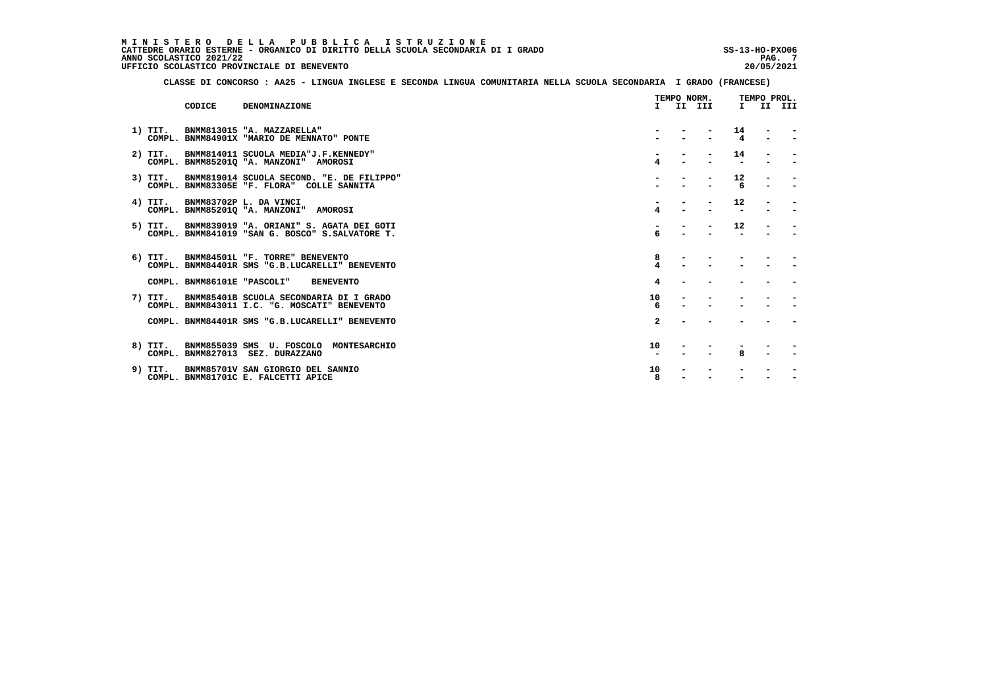MINISTERO DELLA PUBBLICA ISTRUZIONE<br>CATTEDRE ORARIO ESTERNE - ORGANICO DI DIRITTO DELLA SCUOLA SECONDARIA DI IGRADO  **ANNO SCOLASTICO 2021/22 PAG. 7 UFFICIO SCOLASTICO PROVINCIALE DI BENEVENTO 20/05/2021**

 **CLASSE DI CONCORSO : AA25 - LINGUA INGLESE E SECONDA LINGUA COMUNITARIA NELLA SCUOLA SECONDARIA I GRADO (FRANCESE)**

|           |                             |                                                                                             |              | TEMPO NORM. |              | TEMPO PROL. |        |
|-----------|-----------------------------|---------------------------------------------------------------------------------------------|--------------|-------------|--------------|-------------|--------|
|           | CODICE                      | DENOMINAZIONE                                                                               |              | I II III    | $\mathbf{I}$ |             | II III |
| 1) TIT.   |                             | BNMM813015 "A. MAZZARELLA"<br>COMPL. BNMM84901X "MARIO DE MENNATO" PONTE                    |              |             | 14<br>4      |             |        |
| $2)$ TIT. |                             | BNMM814011 SCUOLA MEDIA"J.F.KENNEDY"<br>COMPL. BNMM85201Q "A. MANZONI" AMOROSI              |              |             | 14           |             |        |
| 3) TIT.   |                             | BNMM819014 SCUOLA SECOND. "E. DE FILIPPO"<br>COMPL. BNMM83305E "F. FLORA" COLLE SANNITA     |              |             | 12<br>6      |             |        |
| 4) TIT.   |                             | BNMM83702P L. DA VINCI<br>COMPL. BNMM852010 "A. MANZONI" AMOROSI                            | 4            |             | 12           |             |        |
| 5) TIT.   |                             | BNMM839019 "A. ORIANI" S. AGATA DEI GOTI<br>COMPL. BNMM841019 "SAN G. BOSCO" S.SALVATORE T. |              |             | 12           |             |        |
|           |                             | 6) TIT. BNMM84501L "F. TORRE" BENEVENTO<br>COMPL. BNMM84401R SMS "G.B.LUCARELLI" BENEVENTO  | 8            |             |              |             |        |
|           | COMPL. BNMM86101E "PASCOLI" | <b>BENEVENTO</b>                                                                            | 4            |             |              |             |        |
| 7) TIT.   |                             | BNMM85401B SCUOLA SECONDARIA DI I GRADO<br>COMPL. BNMM843011 I.C. "G. MOSCATI" BENEVENTO    | 10<br>6      |             |              |             |        |
|           |                             | COMPL. BNMM84401R SMS "G.B.LUCARELLI" BENEVENTO                                             | $\mathbf{2}$ |             |              |             |        |
|           |                             | 8) TIT. BNMM855039 SMS U. FOSCOLO MONTESARCHIO<br>COMPL. BNMM827013 SEZ. DURAZZANO          | 10           |             | R            |             |        |
| 9) TIT.   |                             | BNMM85701V SAN GIORGIO DEL SANNIO<br>COMPL. BNMM81701C E. FALCETTI APICE                    | 10<br>8      |             |              |             |        |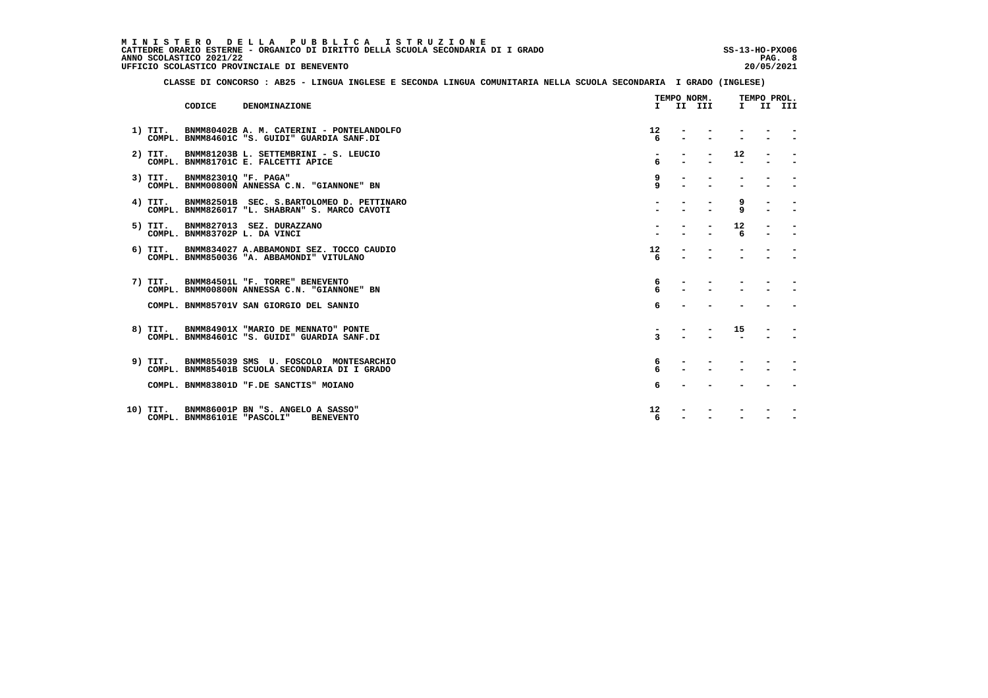MINISTERO DELLA PUBBLICA ISTRUZIONE<br>CATTEDRE ORARIO ESTERNE - ORGANICO DI DIRITTO DELLA SCUOLA SECONDARIA DI IGRADO  **ANNO SCOLASTICO 2021/22 PAG. 8 UFFICIO SCOLASTICO PROVINCIALE DI BENEVENTO 20/05/2021**

 **CLASSE DI CONCORSO : AB25 - LINGUA INGLESE E SECONDA LINGUA COMUNITARIA NELLA SCUOLA SECONDARIA I GRADO (INGLESE)**

|           |                             |                                                                                               |              | TEMPO NORM. |         | TEMPO PROL. |  |
|-----------|-----------------------------|-----------------------------------------------------------------------------------------------|--------------|-------------|---------|-------------|--|
|           | CODICE                      | DENOMINAZIONE                                                                                 |              | I II III    |         | I II III    |  |
| 1) TIT.   |                             | BNMM80402B A. M. CATERINI - PONTELANDOLFO<br>COMPL. BNMM84601C "S. GUIDI" GUARDIA SANF.DI     | 12<br>6      |             |         |             |  |
| $2)$ TIT. |                             | BNMM81203B L. SETTEMBRINI - S. LEUCIO<br>COMPL. BNMM81701C E. FALCETTI APICE                  | 6            |             | 12      |             |  |
| 3) TIT.   | BNMM823010 "F. PAGA"        | COMPL. BNMM00800N ANNESSA C.N. "GIANNONE" BN                                                  | 9<br>9       |             |         |             |  |
| 4) TIT.   |                             | BNMM82501B SEC. S.BARTOLOMEO D. PETTINARO<br>COMPL. BNMM826017 "L. SHABRAN" S. MARCO CAVOTI   |              |             | 9<br>9  |             |  |
| 5) TIT.   |                             | BNMM827013 SEZ. DURAZZANO<br>COMPL. BNMM83702P L. DA VINCI                                    |              |             | 12<br>6 |             |  |
|           |                             | 6) TIT. BNMM834027 A.ABBAMONDI SEZ. TOCCO CAUDIO<br>COMPL. BNMM850036 "A. ABBAMONDI" VITULANO | 12<br>6      |             |         |             |  |
|           |                             | 7) TIT. BNMM84501L "F. TORRE" BENEVENTO<br>COMPL. BNMM00800N ANNESSA C.N. "GIANNONE" BN       | 6<br>6       |             |         |             |  |
|           |                             | COMPL. BNMM85701V SAN GIORGIO DEL SANNIO                                                      | 6            |             |         |             |  |
|           |                             | 8) TIT. BNMM84901X "MARIO DE MENNATO" PONTE<br>COMPL. BNMM84601C "S. GUIDI" GUARDIA SANF.DI   | $\mathbf{z}$ |             | 15      |             |  |
| 9) TIT.   |                             | BNMM855039 SMS U. FOSCOLO MONTESARCHIO<br>COMPL. BNMM85401B SCUOLA SECONDARIA DI I GRADO      | 6<br>6       |             |         |             |  |
|           |                             | COMPL. BNMM83801D "F.DE SANCTIS" MOIANO                                                       | 6            |             |         |             |  |
| 10) TIT.  | COMPL. BNMM86101E "PASCOLI" | BNMM86001P BN "S. ANGELO A SASSO"<br><b>BENEVENTO</b>                                         | 12<br>6      |             |         |             |  |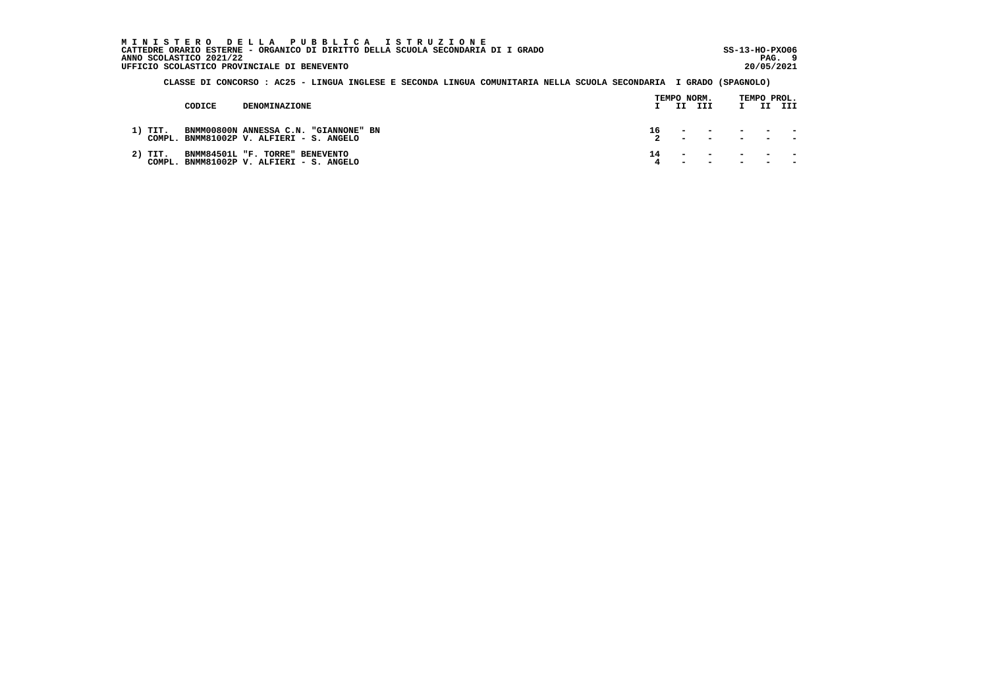MINISTERO DELLA PUBBLICA ISTRUZIONE<br>CATTEDRE ORARIO ESTERNE - ORGANICO DI DIRITTO DELLA SCUOLA SECONDARIA DI IGRADO  **ANNO SCOLASTICO 2021/22 PAG. 9 UFFICIO SCOLASTICO PROVINCIALE DI BENEVENTO 20/05/2021**

 **CLASSE DI CONCORSO : AC25 - LINGUA INGLESE E SECONDA LINGUA COMUNITARIA NELLA SCUOLA SECONDARIA I GRADO (SPAGNOLO)**

|  |           |        |                                                                                   |    | TEMPO NORM. |                                                                                                                                                                                                                                                                        |  | TEMPO PROL. |
|--|-----------|--------|-----------------------------------------------------------------------------------|----|-------------|------------------------------------------------------------------------------------------------------------------------------------------------------------------------------------------------------------------------------------------------------------------------|--|-------------|
|  |           | CODICE | DENOMINAZIONE                                                                     |    |             | II III                                                                                                                                                                                                                                                                 |  | II III      |
|  | 1) TIT.   |        | BNMM00800N ANNESSA C.N. "GIANNONE" BN<br>COMPL. BNMM81002P V. ALFIERI - S. ANGELO |    |             | $\frac{16}{2}$ $\frac{1}{2}$ $\frac{1}{2}$ $\frac{1}{2}$ $\frac{1}{2}$ $\frac{1}{2}$ $\frac{1}{2}$                                                                                                                                                                     |  |             |
|  | $2)$ TIT. |        | BNMM84501L "F. TORRE" BENEVENTO<br>COMPL. BNMM81002P V. ALFIERI - S. ANGELO       | 14 |             | the company of the company of the company of the company of the company of the company of the company of the company of the company of the company of the company of the company of the company of the company of the company<br>the company of the second service and |  |             |